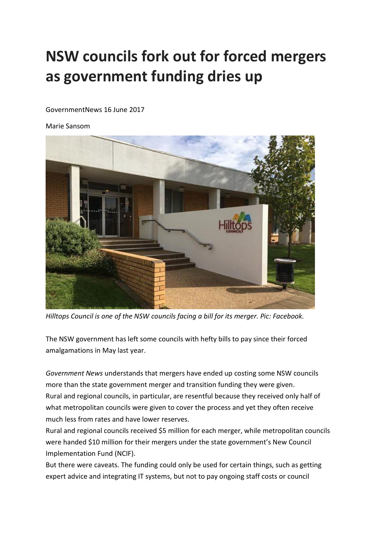## **NSW councils fork out for forced mergers as government funding dries up**

GovernmentNews 16 June 2017

Marie Sansom



*Hilltops Council is one of the NSW councils facing a bill for its merger. Pic: Facebook.*

The NSW government has left some councils with hefty bills to pay since their forced amalgamations in May last year.

*Government News* understands that mergers have ended up costing some NSW councils more than the state government merger and transition funding they were given. Rural and regional councils, in particular, are resentful because they received only half of what metropolitan councils were given to cover the process and yet they often receive much less from rates and have lower reserves.

Rural and regional councils received \$5 million for each merger, while metropolitan councils were handed \$10 million for their mergers under the state government's New Council Implementation Fund (NCIF).

But there were caveats. The funding could only be used for certain things, such as getting expert advice and integrating IT systems, but not to pay ongoing staff costs or council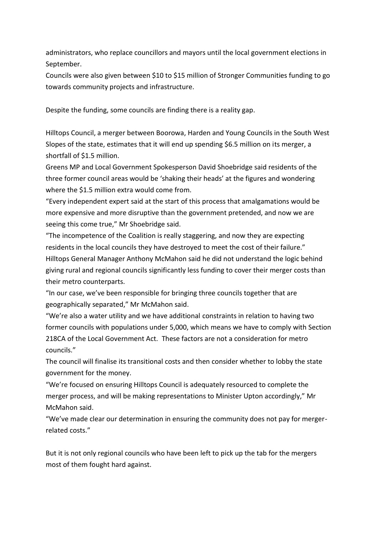administrators, who replace councillors and mayors until the local government elections in September.

Councils were also given between \$10 to \$15 million of Stronger Communities funding to go towards community projects and infrastructure.

Despite the funding, some councils are finding there is a reality gap.

Hilltops Council, a merger between Boorowa, Harden and Young Councils in the South West Slopes of the state, [estimates that it will end up spending \\$6.5 million on its merger,](http://hilltops.nsw.gov.au/wp-content/uploads/2016/12/Community-Summer-Newsletter-19DEC.pdf) a shortfall of \$1.5 million.

Greens MP and Local Government Spokesperson David Shoebridge said residents of the three former council areas would be 'shaking their heads' at the figures and wondering where the \$1.5 million extra would come from.

"Every independent expert said at the start of this process that amalgamations would be more expensive and more disruptive than the government pretended, and now we are seeing this come true," Mr Shoebridge said.

"The incompetence of the Coalition is really staggering, and now they are expecting residents in the local councils they have destroyed to meet the cost of their failure." Hilltops General Manager Anthony McMahon said he did not understand the logic behind giving rural and regional councils significantly less funding to cover their merger costs than their metro counterparts.

"In our case, we've been responsible for bringing three councils together that are geographically separated," Mr McMahon said.

"We're also a water utility and we have additional constraints in relation to having two former councils with populations under 5,000, which means we have to comply with Section 218CA of the Local Government Act. These factors are not a consideration for metro councils."

The council will finalise its transitional costs and then consider whether to lobby the state government for the money.

"We're focused on ensuring Hilltops Council is adequately resourced to complete the merger process, and will be making representations to Minister Upton accordingly," Mr McMahon said.

"We've made clear our determination in ensuring the community does not pay for mergerrelated costs."

But it is not only regional councils who have been left to pick up the tab for the mergers most of them fought hard against.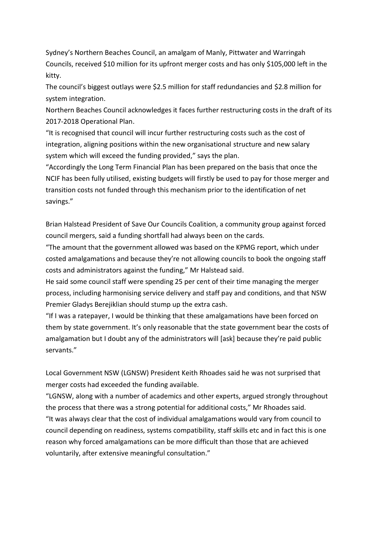Sydney's Northern Beaches Council, an amalgam of Manly, Pittwater and Warringah Councils, received \$10 million for its upfront merger costs and has only \$105,000 left in the kitty.

The council's biggest outlays were \$2.5 million for staff redundancies and \$2.8 million for system integration.

Northern Beaches Council acknowledges it faces further restructuring costs in the draft of its [2017-2018 Operational Plan.](file:///C:/Users/msansom/AppData/Local/Microsoft/Windows/INetCache/Content.Outlook/805QJ3G3/NBC%20OPERATIONAL_PLAN.pdf)

"It is recognised that council will incur further restructuring costs such as the cost of integration, aligning positions within the new organisational structure and new salary system which will exceed the funding provided," says the plan.

"Accordingly the Long Term Financial Plan has been prepared on the basis that once the NCIF has been fully utilised, existing budgets will firstly be used to pay for those merger and transition costs not funded through this mechanism prior to the identification of net savings."

Brian Halstead President of Save Our Councils Coalition, a community group against forced council mergers, said a funding shortfall had always been on the cards.

"The amount that the government allowed was based on the KPMG report, which under costed amalgamations and because they're not allowing councils to book the ongoing staff costs and administrators against the funding," Mr Halstead said.

He said some council staff were spending 25 per cent of their time managing the merger process, including harmonising service delivery and staff pay and conditions, and that NSW Premier Gladys Berejiklian should stump up the extra cash.

"If I was a ratepayer, I would be thinking that these amalgamations have been forced on them by state government. It's only reasonable that the state government bear the costs of amalgamation but I doubt any of the administrators will [ask] because they're paid public servants."

Local Government NSW (LGNSW) President Keith Rhoades said he was not surprised that merger costs had exceeded the funding available.

"LGNSW, along with a number of academics and other experts, argued strongly throughout the process that there was a strong potential for additional costs," Mr Rhoades said. "It was always clear that the cost of individual amalgamations would vary from council to council depending on readiness, systems compatibility, staff skills etc and in fact this is one reason why forced amalgamations can be more difficult than those that are achieved voluntarily, after extensive meaningful consultation."